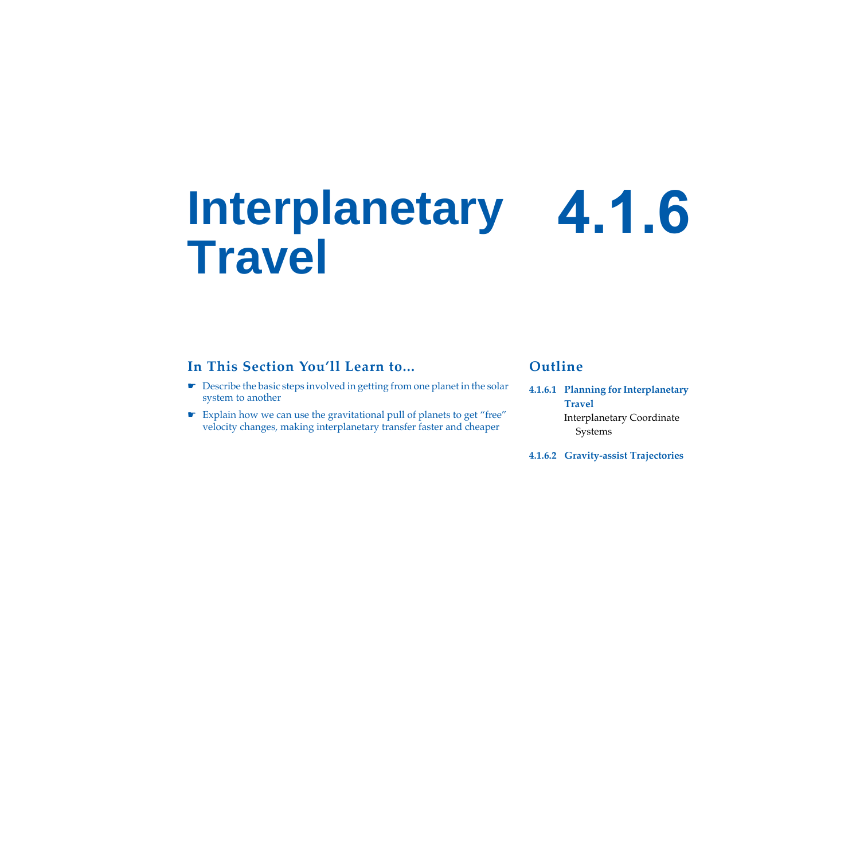# **Interplanetary 4.1.6 Travel**

## **In This Section You'll Learn to...**

- ☛ Describe the basic steps involved in getting from one planet in the solar system to another
- ☛ Explain how we can use the gravitational pull of planets to get "free" velocity changes, making interplanetary transfer faster and cheaper

## **Outline**

- **[4.1.6.1 Planning for Interplanetary](#page-2-0)  [Travel](#page-2-0)** [Interplanetary Coordinate](#page-2-1)  [Systems](#page-2-1)
- **[4.1.6.2 Gravity-assist Trajectories](#page-9-0)**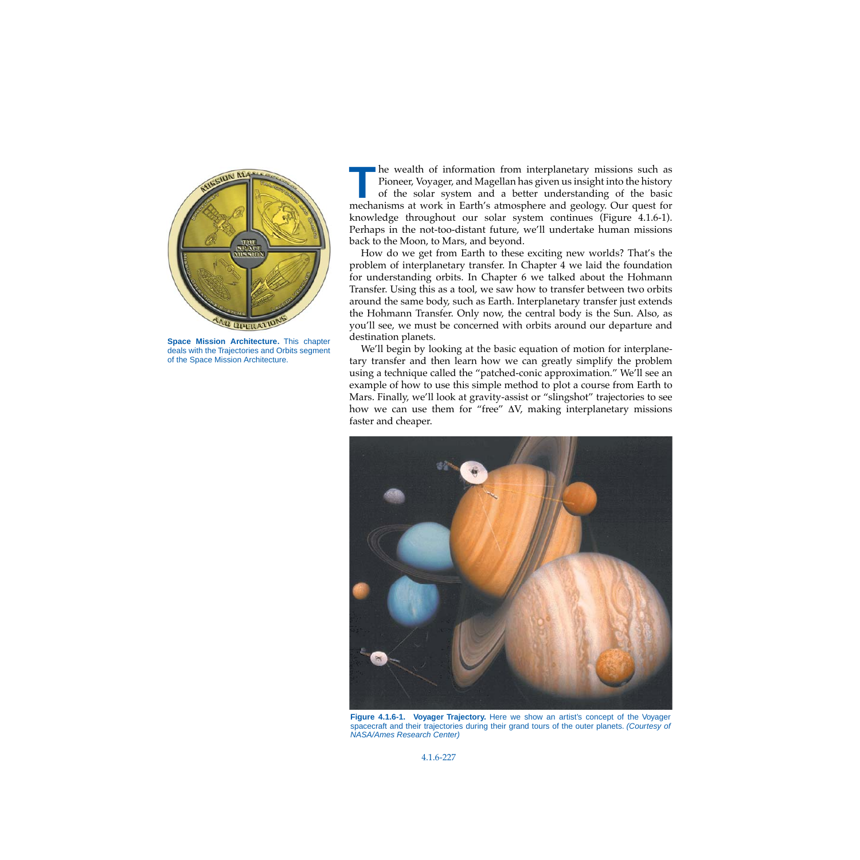

**Space Mission Architecture.** This chapter deals with the Trajectories and Orbits segment of the Space Mission Architecture.

he wealth of information from interplanetary missions such as **The wealth of information from interplanetary missions such as<br>Pioneer, Voyager, and Magellan has given us insight into the history<br>of the solar system and a better understanding of the basic<br>mechanisms at work in Earth's** of the solar system and a better understanding of the basic mechanisms at work in Earth's atmosphere and geology. Our quest for knowledge throughout our solar system continues [\(Figure 4.1.6-1\)](#page-1-0). Perhaps in the not-too-distant future, we'll undertake human missions back to the Moon, to Mars, and beyond.

How do we get from Earth to these exciting new worlds? That's the problem of interplanetary transfer. In Chapter 4 we laid the foundation for understanding orbits. In Chapter 6 we talked about the Hohmann Transfer. Using this as a tool, we saw how to transfer between two orbits around the same body, such as Earth. Interplanetary transfer just extends the Hohmann Transfer. Only now, the central body is the Sun. Also, as you'll see, we must be concerned with orbits around our departure and destination planets.

We'll begin by looking at the basic equation of motion for interplanetary transfer and then learn how we can greatly simplify the problem using a technique called the "patched-conic approximation." We'll see an example of how to use this simple method to plot a course from Earth to Mars. Finally, we'll look at gravity-assist or "slingshot" trajectories to see how we can use them for "free" ∆V, making interplanetary missions faster and cheaper.

<span id="page-1-0"></span>

**Figure 4.1.6-1. Voyager Trajectory.** Here we show an artist's concept of the Voyager spacecraft and their trajectories during their grand tours of the outer planets. (Courtesy of NASA/Ames Research Center)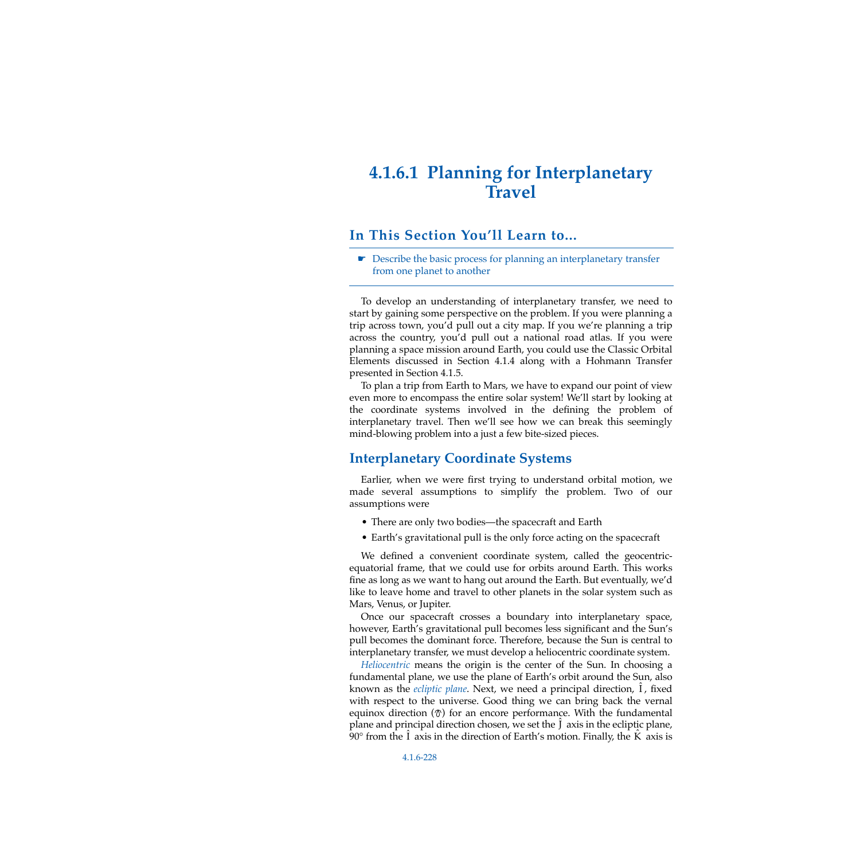# <span id="page-2-0"></span>**4.1.6.1 Planning for Interplanetary Travel**

### **In This Section You'll Learn to...**

☛ Describe the basic process for planning an interplanetary transfer from one planet to another

To develop an understanding of interplanetary transfer, we need to start by gaining some perspective on the problem. If you were planning a trip across town, you'd pull out a city map. If you we're planning a trip across the country, you'd pull out a national road atlas. If you were planning a space mission around Earth, you could use the Classic Orbital Elements discussed in Section 4.1.4 along with a Hohmann Transfer presented in Section 4.1.5.

To plan a trip from Earth to Mars, we have to expand our point of view even more to encompass the entire solar system! We'll start by looking at the coordinate systems involved in the defining the problem of interplanetary travel. Then we'll see how we can break this seemingly mind-blowing problem into a just a few bite-sized pieces.

### <span id="page-2-1"></span>**Interplanetary Coordinate Systems**

Earlier, when we were first trying to understand orbital motion, we made several assumptions to simplify the problem. Two of our assumptions were

- There are only two bodies—the spacecraft and Earth
- Earth's gravitational pull is the only force acting on the spacecraft

We defined a convenient coordinate system, called the geocentricequatorial frame, that we could use for orbits around Earth. This works fine as long as we want to hang out around the Earth. But eventually, we'd like to leave home and travel to other planets in the solar system such as Mars, Venus, or Jupiter.

Once our spacecraft crosses a boundary into interplanetary space, however, Earth's gravitational pull becomes less significant and the Sun's pull becomes the dominant force. Therefore, because the Sun is central to interplanetary transfer, we must develop a heliocentric coordinate system.

*Heliocentric* means the origin is the center of the Sun. In choosing a fundamental plane, we use the plane of Earth's orbit around the Sun, also known as the *ecliptic plane*. Next, we need a principal direction,  $\hat{I}$ , fixed with respect to the universe. Good thing we can bring back the vernal equinox direction  $(\mathcal{D})$  for an encore performance. With the fundamental plane and principal direction chosen, we set the  $\hat{J}$  axis in the ecliptic plane, 90 $\degree$  from the  $\hat{I}$  axis in the direction of Earth's motion. Finally, the  $\hat{K}$  axis is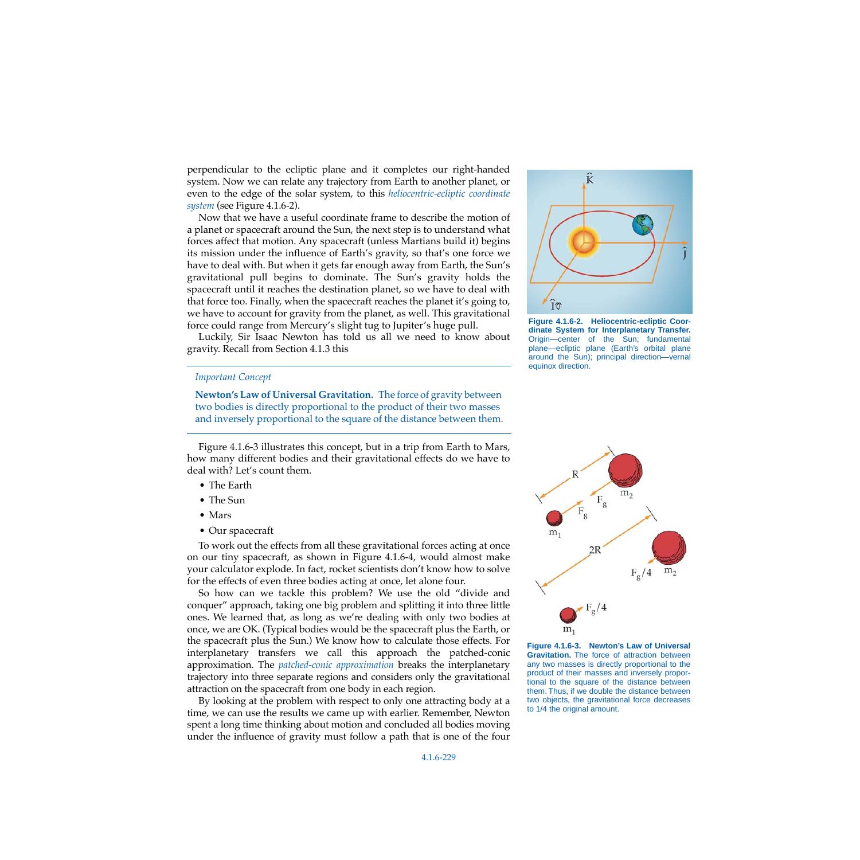perpendicular to the ecliptic plane and it completes our right-handed system. Now we can relate any trajectory from Earth to another planet, or even to the edge of the solar system, to this *heliocentric-ecliptic coordinate system* (see [Figure 4.1.6-2](#page-3-1)).

Now that we have a useful coordinate frame to describe the motion of a planet or spacecraft around the Sun, the next step is to understand what forces affect that motion. Any spacecraft (unless Martians build it) begins its mission under the influence of Earth's gravity, so that's one force we have to deal with. But when it gets far enough away from Earth, the Sun's gravitational pull begins to dominate. The Sun's gravity holds the spacecraft until it reaches the destination planet, so we have to deal with that force too. Finally, when the spacecraft reaches the planet it's going to, we have to account for gravity from the planet, as well. This gravitational force could range from Mercury's slight tug to Jupiter's huge pull.

Luckily, Sir Isaac Newton has told us all we need to know about gravity. Recall from Section 4.1.3 this

#### *Important Concept*

**Newton's Law of Universal Gravitation.** The force of gravity between two bodies is directly proportional to the product of their two masses and inversely proportional to the square of the distance between them.

[Figure 4.1.6-3](#page-3-0) illustrates this concept, but in a trip from Earth to Mars, how many different bodies and their gravitational effects do we have to deal with? Let's count them.

- The Earth
- The Sun
- Mars
- Our spacecraft

To work out the effects from all these gravitational forces acting at once on our tiny spacecraft, as shown in [Figure 4.1.6-4,](#page-4-0) would almost make your calculator explode. In fact, rocket scientists don't know how to solve for the effects of even three bodies acting at once, let alone four.

So how can we tackle this problem? We use the old "divide and conquer" approach, taking one big problem and splitting it into three little ones. We learned that, as long as we're dealing with only two bodies at once, we are OK. (Typical bodies would be the spacecraft plus the Earth, or the spacecraft plus the Sun.) We know how to calculate those effects. For interplanetary transfers we call this approach the patched-conic approximation. The *patched-conic approximation* breaks the interplanetary trajectory into three separate regions and considers only the gravitational attraction on the spacecraft from one body in each region.

By looking at the problem with respect to only one attracting body at a time, we can use the results we came up with earlier. Remember, Newton spent a long time thinking about motion and concluded all bodies moving under the influence of gravity must follow a path that is one of the four



<span id="page-3-1"></span>**Figure 4.1.6-2. Heliocentric-ecliptic Coordinate System for Interplanetary Transfer.** Origin—center of the Sun; fundamental plane—ecliptic plane (Earth's orbital plane around the Sun); principal direction—vernal equinox direction.



<span id="page-3-0"></span>**Figure 4.1.6-3. Newton's Law of Universal Gravitation.** The force of attraction between any two masses is directly proportional to the product of their masses and inversely proportional to the square of the distance between them. Thus, if we double the distance between two objects, the gravitational force decreases to 1/4 the original amount.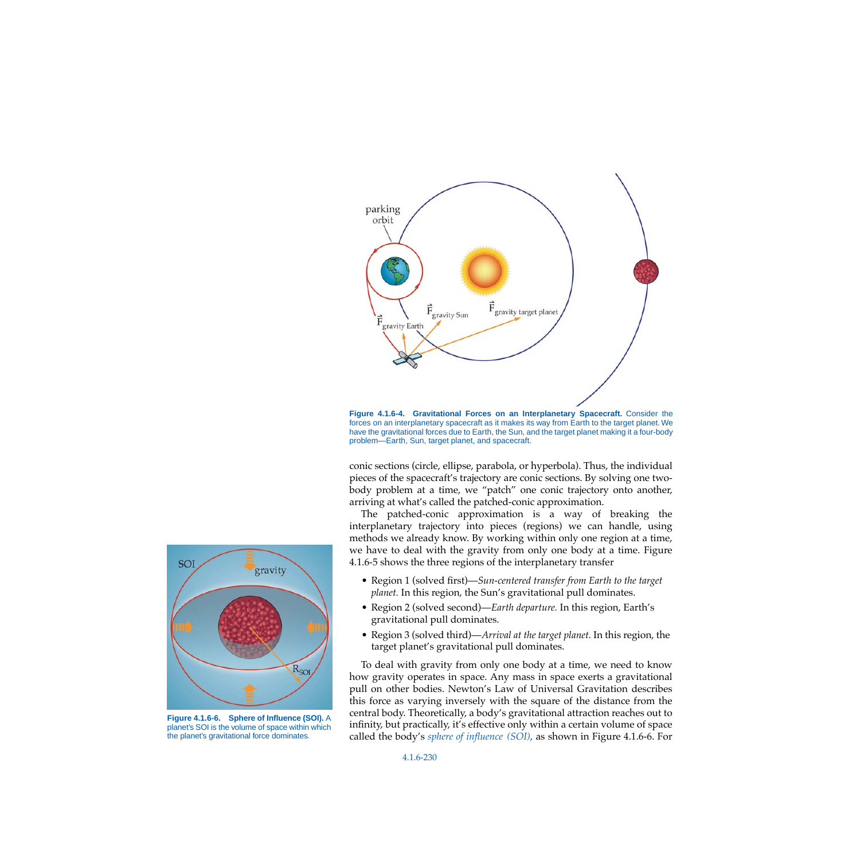

<span id="page-4-0"></span>**Figure 4.1.6-4. Gravitational Forces on an Interplanetary Spacecraft.** Consider the forces on an interplanetary spacecraft as it makes its way from Earth to the target planet. We have the gravitational forces due to Earth, the Sun, and the target planet making it a four-body problem—Earth, Sun, target planet, and spacecraft.

conic sections (circle, ellipse, parabola, or hyperbola). Thus, the individual pieces of the spacecraft's trajectory are conic sections. By solving one twobody problem at a time, we "patch" one conic trajectory onto another, arriving at what's called the patched-conic approximation.

The patched-conic approximation is a way of breaking the interplanetary trajectory into pieces (regions) we can handle, using methods we already know. By working within only one region at a time, we have to deal with the gravity from only one body at a time. [Figure](#page-5-0) [4.1.6-5](#page-5-0) shows the three regions of the interplanetary transfer

- Region 1 (solved first)—*Sun-centered transfer from Earth to the target planet.* In this region, the Sun's gravitational pull dominates.
- Region 2 (solved second)—*Earth departure.* In this region, Earth's gravitational pull dominates.
- Region 3 (solved third)—*Arrival at the target planet.* In this region, the target planet's gravitational pull dominates.

To deal with gravity from only one body at a time, we need to know how gravity operates in space. Any mass in space exerts a gravitational pull on other bodies. Newton's Law of Universal Gravitation describes this force as varying inversely with the square of the distance from the central body. Theoretically, a body's gravitational attraction reaches out to infinity, but practically, it's effective only within a certain volume of space called the body's *sphere of influence (SOI),* as shown in [Figure 4.1.6-6](#page-4-1). For



<span id="page-4-1"></span>**Figure 4.1.6-6. Sphere of Influence (SOI).** A planet's SOI is the volume of space within which the planet's gravitational force dominates.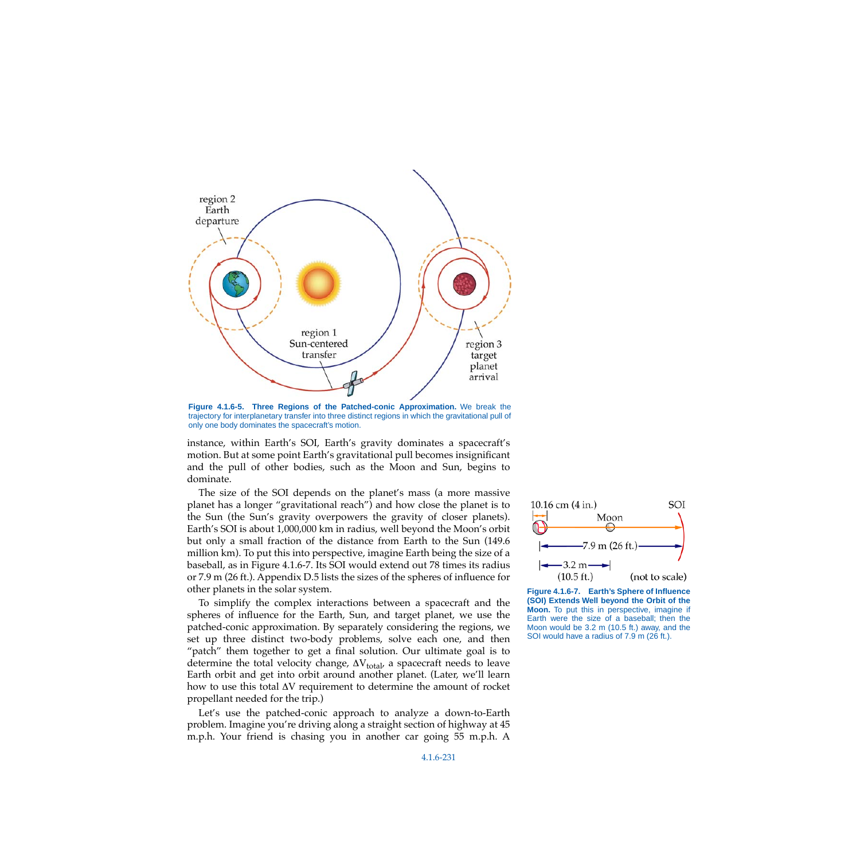

<span id="page-5-0"></span>**Figure 4.1.6-5. Three Regions of the Patched-conic Approximation.** We break the trajectory for interplanetary transfer into three distinct regions in which the gravitational pull of only one body dominates the spacecraft's motion.

instance, within Earth's SOI, Earth's gravity dominates a spacecraft's motion. But at some point Earth's gravitational pull becomes insignificant and the pull of other bodies, such as the Moon and Sun, begins to dominate.

The size of the SOI depends on the planet's mass (a more massive planet has a longer "gravitational reach") and how close the planet is to the Sun (the Sun's gravity overpowers the gravity of closer planets). Earth's SOI is about 1,000,000 km in radius, well beyond the Moon's orbit but only a small fraction of the distance from Earth to the Sun (149.6 million km). To put this into perspective, imagine Earth being the size of a baseball, as in [Figure 4.1.6-7.](#page-5-1) Its SOI would extend out 78 times its radius or 7.9 m (26 ft.). Appendix D.5 lists the sizes of the spheres of influence for other planets in the solar system.

To simplify the complex interactions between a spacecraft and the spheres of influence for the Earth, Sun, and target planet, we use the patched-conic approximation. By separately considering the regions, we set up three distinct two-body problems, solve each one, and then "patch" them together to get a final solution. Our ultimate goal is to determine the total velocity change,  $\Delta V_{total}$  a spacecraft needs to leave Earth orbit and get into orbit around another planet. (Later, we'll learn how to use this total ∆V requirement to determine the amount of rocket propellant needed for the trip.)

Let's use the patched-conic approach to analyze a down-to-Earth problem. Imagine you're driving along a straight section of highway at 45 m.p.h. Your friend is chasing you in another car going 55 m.p.h. A



<span id="page-5-1"></span>**Figure 4.1.6-7. Earth's Sphere of Influence (SOI) Extends Well beyond the Orbit of the Moon.** To put this in perspective, imagine if Earth were the size of a baseball; then the Moon would be 3.2 m (10.5 ft.) away, and the SOI would have a radius of 7.9 m (26 ft.).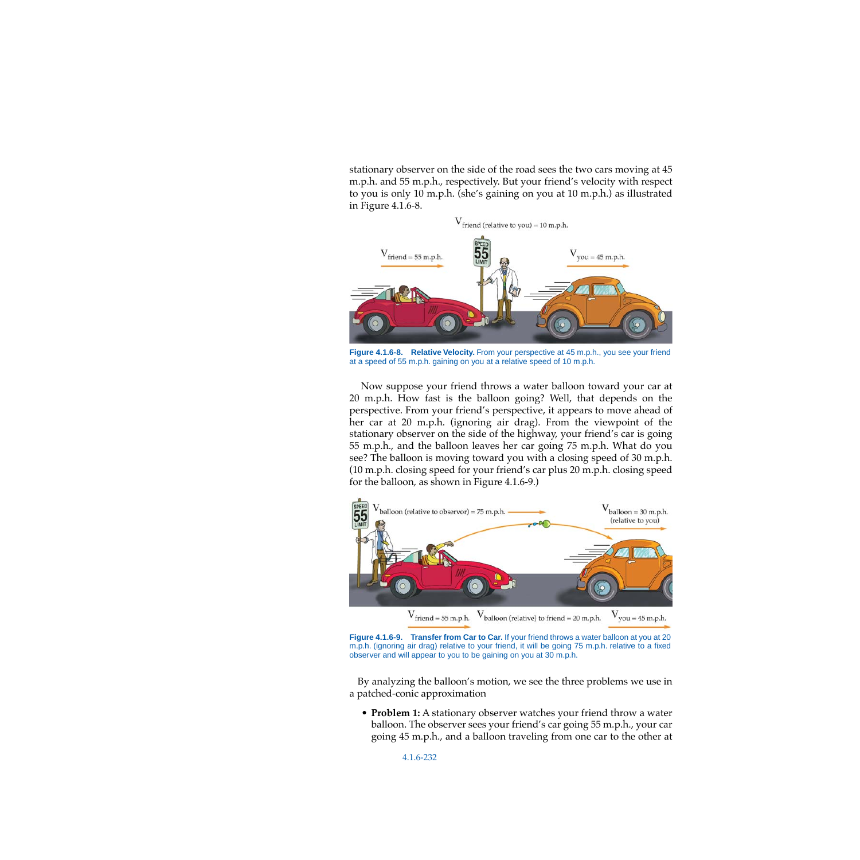stationary observer on the side of the road sees the two cars moving at 45 m.p.h. and 55 m.p.h., respectively. But your friend's velocity with respect to you is only 10 m.p.h. (she's gaining on you at 10 m.p.h.) as illustrated in [Figure 4.1.6-8](#page-6-0).



<span id="page-6-0"></span>**Figure 4.1.6-8. Relative Velocity.** From your perspective at 45 m.p.h., you see your friend at a speed of 55 m.p.h. gaining on you at a relative speed of 10 m.p.h.

Now suppose your friend throws a water balloon toward your car at 20 m.p.h. How fast is the balloon going? Well, that depends on the perspective. From your friend's perspective, it appears to move ahead of her car at 20 m.p.h. (ignoring air drag). From the viewpoint of the stationary observer on the side of the highway, your friend's car is going 55 m.p.h., and the balloon leaves her car going 75 m.p.h. What do you see? The balloon is moving toward you with a closing speed of 30 m.p.h. (10 m.p.h. closing speed for your friend's car plus 20 m.p.h. closing speed for the balloon, as shown in [Figure 4.1.6-9.](#page-6-1))



<span id="page-6-1"></span>**Figure 4.1.6-9. Transfer from Car to Car.** If your friend throws a water balloon at you at 20 m.p.h. (ignoring air drag) relative to your friend, it will be going 75 m.p.h. relative to a fixed observer and will appear to you to be gaining on you at 30 m.p.h.

By analyzing the balloon's motion, we see the three problems we use in a patched-conic approximation

• **Problem 1:** A stationary observer watches your friend throw a water balloon. The observer sees your friend's car going 55 m.p.h., your car going 45 m.p.h., and a balloon traveling from one car to the other at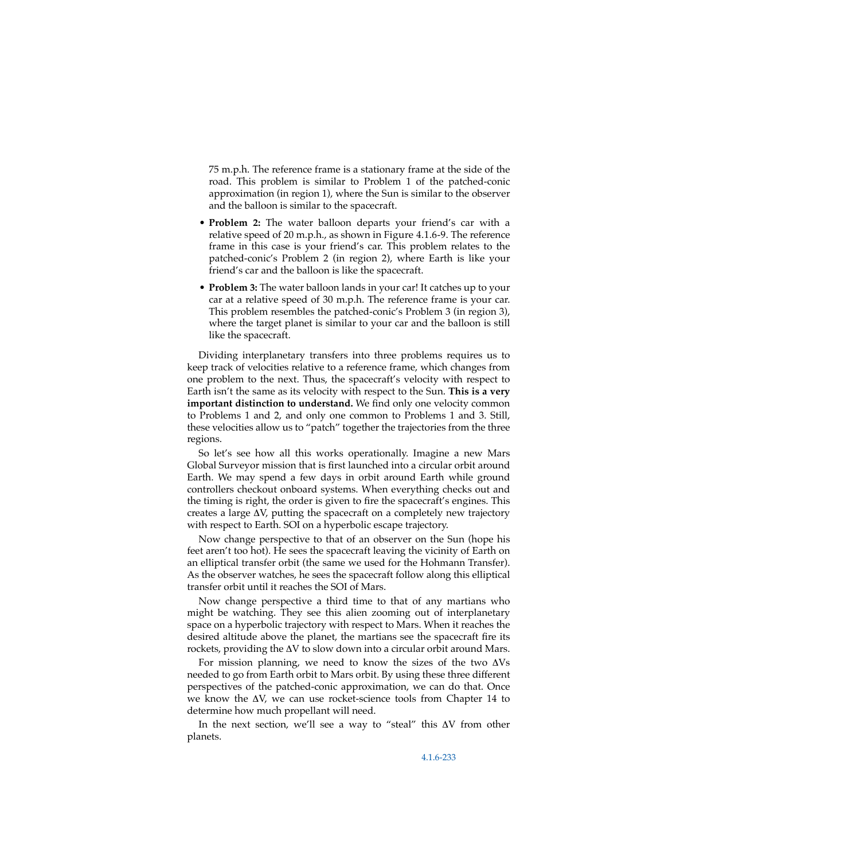75 m.p.h. The reference frame is a stationary frame at the side of the road. This problem is similar to Problem 1 of the patched-conic approximation (in region 1), where the Sun is similar to the observer and the balloon is similar to the spacecraft.

- **Problem 2:** The water balloon departs your friend's car with a relative speed of 20 m.p.h., as shown in [Figure 4.1.6-9](#page-6-1). The reference frame in this case is your friend's car. This problem relates to the patched-conic's Problem 2 (in region 2), where Earth is like your friend's car and the balloon is like the spacecraft.
- **Problem 3:** The water balloon lands in your car! It catches up to your car at a relative speed of 30 m.p.h. The reference frame is your car. This problem resembles the patched-conic's Problem 3 (in region 3), where the target planet is similar to your car and the balloon is still like the spacecraft.

Dividing interplanetary transfers into three problems requires us to keep track of velocities relative to a reference frame, which changes from one problem to the next. Thus, the spacecraft's velocity with respect to Earth isn't the same as its velocity with respect to the Sun. **This is a very important distinction to understand.** We find only one velocity common to Problems 1 and 2, and only one common to Problems 1 and 3. Still, these velocities allow us to "patch" together the trajectories from the three regions.

So let's see how all this works operationally. Imagine a new Mars Global Surveyor mission that is first launched into a circular orbit around Earth. We may spend a few days in orbit around Earth while ground controllers checkout onboard systems. When everything checks out and the timing is right, the order is given to fire the spacecraft's engines. This creates a large ∆V, putting the spacecraft on a completely new trajectory with respect to Earth. SOI on a hyperbolic escape trajectory.

Now change perspective to that of an observer on the Sun (hope his feet aren't too hot). He sees the spacecraft leaving the vicinity of Earth on an elliptical transfer orbit (the same we used for the Hohmann Transfer). As the observer watches, he sees the spacecraft follow along this elliptical transfer orbit until it reaches the SOI of Mars.

Now change perspective a third time to that of any martians who might be watching. They see this alien zooming out of interplanetary space on a hyperbolic trajectory with respect to Mars. When it reaches the desired altitude above the planet, the martians see the spacecraft fire its rockets, providing the ∆V to slow down into a circular orbit around Mars.

For mission planning, we need to know the sizes of the two ∆Vs needed to go from Earth orbit to Mars orbit. By using these three different perspectives of the patched-conic approximation, we can do that. Once we know the ∆V, we can use rocket-science tools from Chapter 14 to determine how much propellant will need.

In the next section, we'll see a way to "steal" this ∆V from other planets.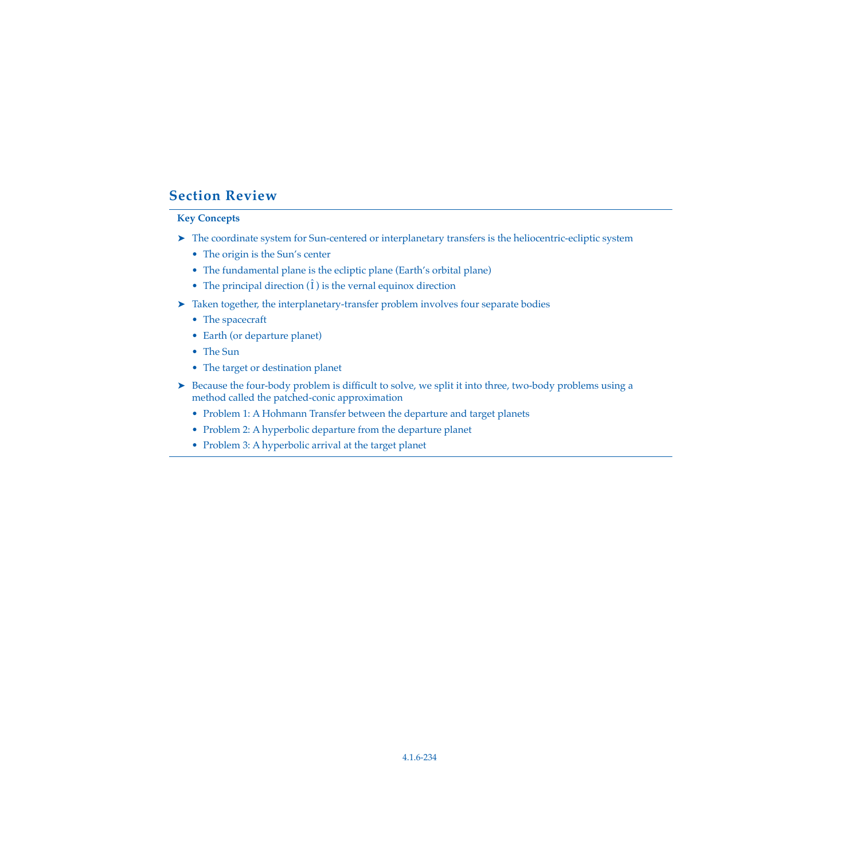## **Section Review**

#### **Key Concepts**

- ➤ The coordinate system for Sun-centered or interplanetary transfers is the heliocentric-ecliptic system
	- The origin is the Sun's center
	- The fundamental plane is the ecliptic plane (Earth's orbital plane)
	- The principal direction  $(\hat{\mathbf{l}})$  is the vernal equinox direction
- ➤ Taken together, the interplanetary-transfer problem involves four separate bodies
	- The spacecraft
	- Earth (or departure planet)
	- The Sun
	- The target or destination planet
- ► Because the four-body problem is difficult to solve, we split it into three, two-body problems using a method called the patched-conic approximation
	- Problem 1: A Hohmann Transfer between the departure and target planets
	- Problem 2: A hyperbolic departure from the departure planet
	- Problem 3: A hyperbolic arrival at the target planet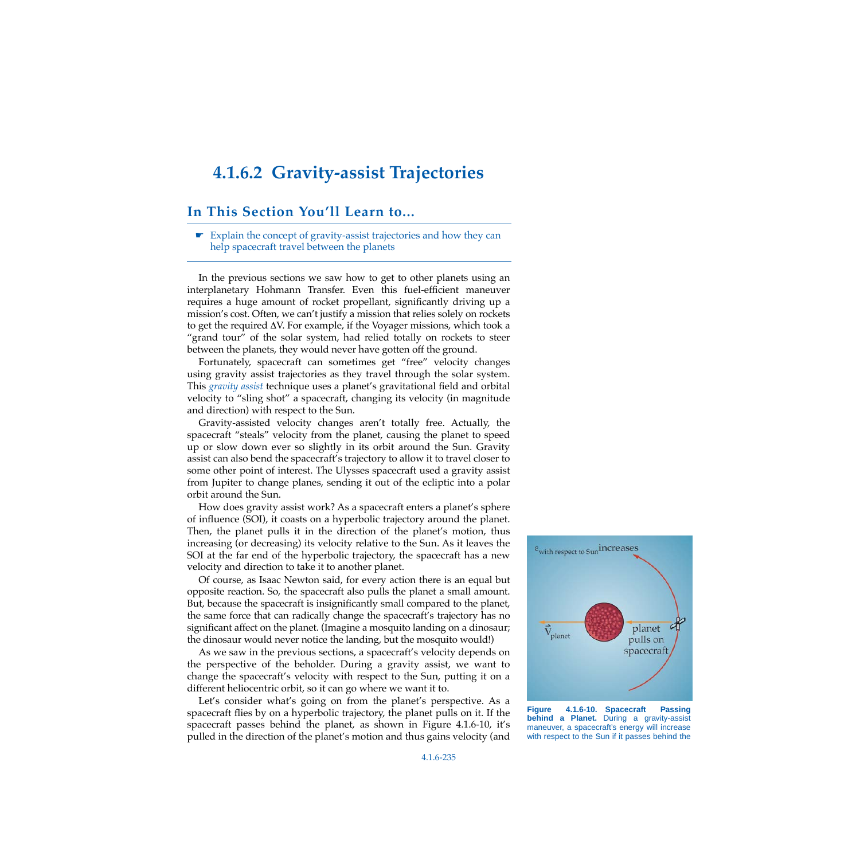## <span id="page-9-0"></span>**4.1.6.2 Gravity-assist Trajectories**

#### **In This Section You'll Learn to...**

☛ Explain the concept of gravity-assist trajectories and how they can help spacecraft travel between the planets

In the previous sections we saw how to get to other planets using an interplanetary Hohmann Transfer. Even this fuel-efficient maneuver requires a huge amount of rocket propellant, significantly driving up a mission's cost. Often, we can't justify a mission that relies solely on rockets to get the required ∆V. For example, if the Voyager missions, which took a "grand tour" of the solar system, had relied totally on rockets to steer between the planets, they would never have gotten off the ground.

Fortunately, spacecraft can sometimes get "free" velocity changes using gravity assist trajectories as they travel through the solar system. This *gravity assist* technique uses a planet's gravitational field and orbital velocity to "sling shot" a spacecraft, changing its velocity (in magnitude and direction) with respect to the Sun.

Gravity-assisted velocity changes aren't totally free. Actually, the spacecraft "steals" velocity from the planet, causing the planet to speed up or slow down ever so slightly in its orbit around the Sun. Gravity assist can also bend the spacecraft's trajectory to allow it to travel closer to some other point of interest. The Ulysses spacecraft used a gravity assist from Jupiter to change planes, sending it out of the ecliptic into a polar orbit around the Sun.

How does gravity assist work? As a spacecraft enters a planet's sphere of influence (SOI), it coasts on a hyperbolic trajectory around the planet. Then, the planet pulls it in the direction of the planet's motion, thus increasing (or decreasing) its velocity relative to the Sun. As it leaves the SOI at the far end of the hyperbolic trajectory, the spacecraft has a new velocity and direction to take it to another planet.

Of course, as Isaac Newton said, for every action there is an equal but opposite reaction. So, the spacecraft also pulls the planet a small amount. But, because the spacecraft is insignificantly small compared to the planet, the same force that can radically change the spacecraft's trajectory has no significant affect on the planet. (Imagine a mosquito landing on a dinosaur; the dinosaur would never notice the landing, but the mosquito would!)

As we saw in the previous sections, a spacecraft's velocity depends on the perspective of the beholder. During a gravity assist, we want to change the spacecraft's velocity with respect to the Sun, putting it on a different heliocentric orbit, so it can go where we want it to.

Let's consider what's going on from the planet's perspective. As a spacecraft flies by on a hyperbolic trajectory, the planet pulls on it. If the spacecraft passes behind the planet, as shown in [Figure 4.1.6-10](#page-9-1), it's pulled in the direction of the planet's motion and thus gains velocity (and

<span id="page-9-1"></span>

**Figure 4.1.6-10. Spacecraft Passing behind a Planet.** During a gravity-assist maneuver, a spacecraft's energy will increase with respect to the Sun if it passes behind the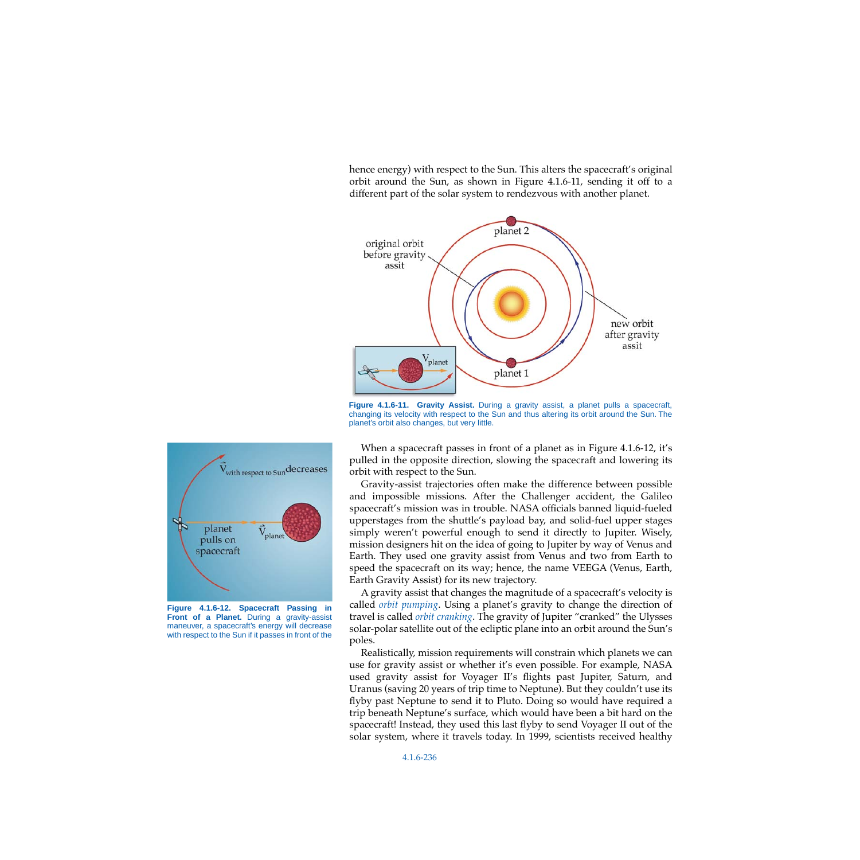hence energy) with respect to the Sun. This alters the spacecraft's original orbit around the Sun, as shown in [Figure 4.1.6-11,](#page-10-1) sending it off to a different part of the solar system to rendezvous with another planet.



<span id="page-10-1"></span>**Figure 4.1.6-11. Gravity Assist.** During a gravity assist, a planet pulls a spacecraft, changing its velocity with respect to the Sun and thus altering its orbit around the Sun. The planet's orbit also changes, but very little.



<span id="page-10-0"></span>**Figure 4.1.6-12. Spacecraft Passing in Front of a Planet.** During a gravity-assist maneuver, a spacecraft's energy will decrease with respect to the Sun if it passes in front of the

When a spacecraft passes in front of a planet as in [Figure 4.1.6-12,](#page-10-0) it's pulled in the opposite direction, slowing the spacecraft and lowering its orbit with respect to the Sun.

Gravity-assist trajectories often make the difference between possible and impossible missions. After the Challenger accident, the Galileo spacecraft's mission was in trouble. NASA officials banned liquid-fueled upperstages from the shuttle's payload bay, and solid-fuel upper stages simply weren't powerful enough to send it directly to Jupiter. Wisely, mission designers hit on the idea of going to Jupiter by way of Venus and Earth. They used one gravity assist from Venus and two from Earth to speed the spacecraft on its way; hence, the name VEEGA (Venus, Earth, Earth Gravity Assist) for its new trajectory.

A gravity assist that changes the magnitude of a spacecraft's velocity is called *orbit pumping*. Using a planet's gravity to change the direction of travel is called *orbit cranking*. The gravity of Jupiter "cranked" the Ulysses solar-polar satellite out of the ecliptic plane into an orbit around the Sun's poles.

Realistically, mission requirements will constrain which planets we can use for gravity assist or whether it's even possible. For example, NASA used gravity assist for Voyager II's flights past Jupiter, Saturn, and Uranus (saving 20 years of trip time to Neptune). But they couldn't use its flyby past Neptune to send it to Pluto. Doing so would have required a trip beneath Neptune's surface, which would have been a bit hard on the spacecraft! Instead, they used this last flyby to send Voyager II out of the solar system, where it travels today. In 1999, scientists received healthy